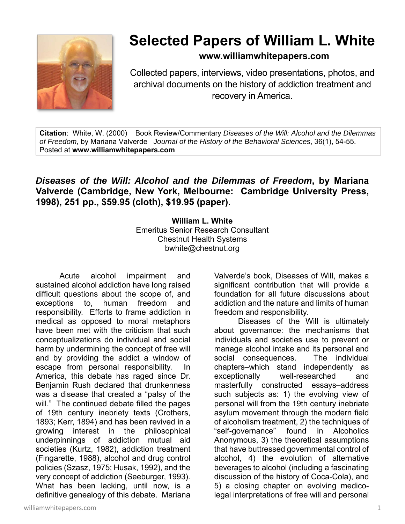

## **Selected Papers of William L. White**

**www.williamwhitepapers.com**

Collected papers, interviews, video presentations, photos, and archival documents on the history of addiction treatment and recovery in America.

**Citation**: White, W. (2000) Book Review/Commentary *Diseases of the Will: Alcohol and the Dilemmas of Freedom*, by Mariana Valverde *Journal of the History of the Behavioral Sciences*, 36(1), 54-55. Posted at **www.williamwhitepapers.com** 

## *Diseases of the Will: Alcohol and the Dilemmas of Freedom***, by Mariana Valverde (Cambridge, New York, Melbourne: Cambridge University Press, 1998), 251 pp., \$59.95 (cloth), \$19.95 (paper).**

**William L. White**  Emeritus Senior Research Consultant Chestnut Health Systems bwhite@chestnut.org

Acute alcohol impairment and sustained alcohol addiction have long raised difficult questions about the scope of, and exceptions to, human freedom and responsibility. Efforts to frame addiction in medical as opposed to moral metaphors have been met with the criticism that such conceptualizations do individual and social harm by undermining the concept of free will and by providing the addict a window of escape from personal responsibility. In America, this debate has raged since Dr. Benjamin Rush declared that drunkenness was a disease that created a "palsy of the will." The continued debate filled the pages of 19th century inebriety texts (Crothers, 1893; Kerr, 1894) and has been revived in a growing interest in the philosophical underpinnings of addiction mutual aid societies (Kurtz, 1982), addiction treatment (Fingarette, 1988), alcohol and drug control policies (Szasz, 1975; Husak, 1992), and the very concept of addiction (Seeburger, 1993). What has been lacking, until now, is a definitive genealogy of this debate. Mariana

Valverde's book, Diseases of Will, makes a significant contribution that will provide a foundation for all future discussions about addiction and the nature and limits of human freedom and responsibility.

Diseases of the Will is ultimately about governance: the mechanisms that individuals and societies use to prevent or manage alcohol intake and its personal and social consequences. The individual chapters–which stand independently as exceptionally well-researched and masterfully constructed essays–address such subjects as: 1) the evolving view of personal will from the 19th century inebriate asylum movement through the modern field of alcoholism treatment, 2) the techniques of "self-governance" found in Alcoholics Anonymous, 3) the theoretical assumptions that have buttressed governmental control of alcohol, 4) the evolution of alternative beverages to alcohol (including a fascinating discussion of the history of Coca-Cola), and 5) a closing chapter on evolving medicolegal interpretations of free will and personal